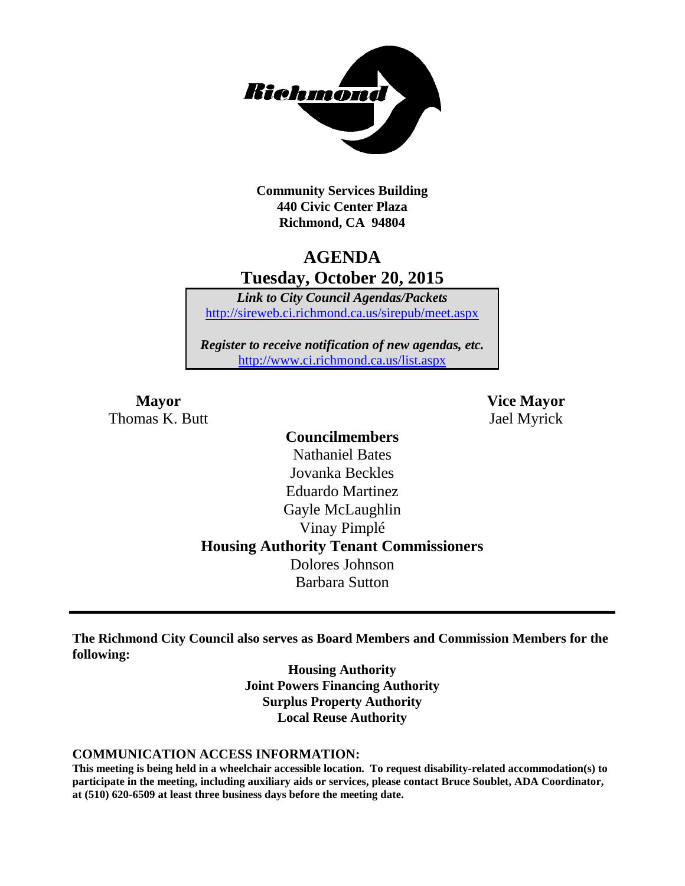

**Community Services Building 440 Civic Center Plaza Richmond, CA 94804**

# **AGENDA Tuesday, October 20, 2015**

*Link to City Council Agendas/Packets* <http://sireweb.ci.richmond.ca.us/sirepub/meet.aspx>

*Register to receive notification of new agendas, etc.* <http://www.ci.richmond.ca.us/list.aspx>

Thomas K. Butt Jael Myrick

**Mayor Vice Mayor**

### **Councilmembers** Nathaniel Bates Jovanka Beckles Eduardo Martinez Gayle McLaughlin Vinay Pimplé **Housing Authority Tenant Commissioners** Dolores Johnson Barbara Sutton

**The Richmond City Council also serves as Board Members and Commission Members for the following:**

> **Housing Authority Joint Powers Financing Authority Surplus Property Authority Local Reuse Authority**

#### **COMMUNICATION ACCESS INFORMATION:**

**This meeting is being held in a wheelchair accessible location. To request disability-related accommodation(s) to participate in the meeting, including auxiliary aids or services, please contact Bruce Soublet, ADA Coordinator, at (510) 620-6509 at least three business days before the meeting date.**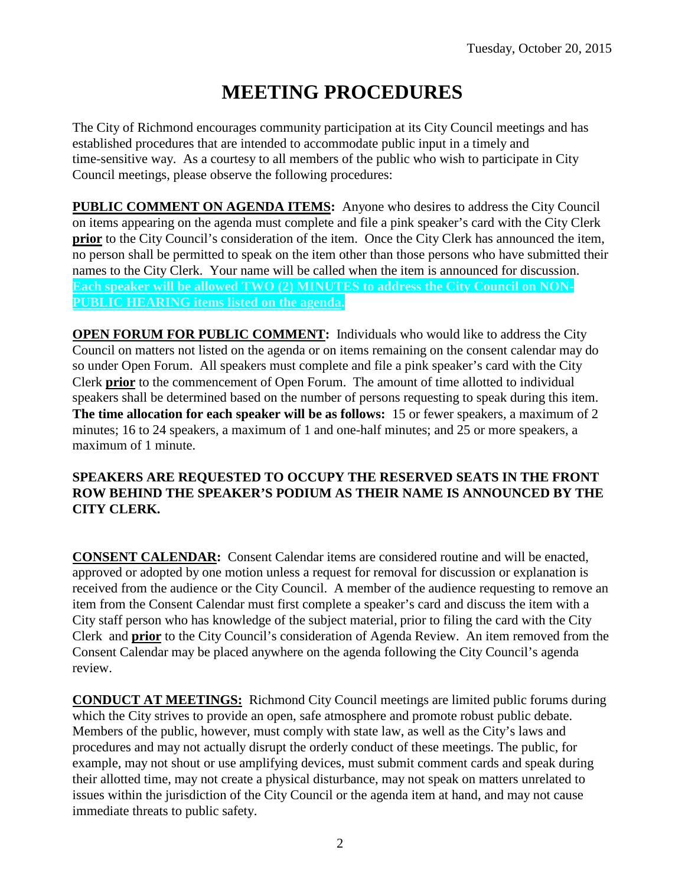# **MEETING PROCEDURES**

The City of Richmond encourages community participation at its City Council meetings and has established procedures that are intended to accommodate public input in a timely and time-sensitive way. As a courtesy to all members of the public who wish to participate in City Council meetings, please observe the following procedures:

**PUBLIC COMMENT ON AGENDA ITEMS:** Anyone who desires to address the City Council on items appearing on the agenda must complete and file a pink speaker's card with the City Clerk **prior** to the City Council's consideration of the item. Once the City Clerk has announced the item, no person shall be permitted to speak on the item other than those persons who have submitted their names to the City Clerk. Your name will be called when the item is announced for discussion. **Each speaker will be allowed TWO (2) MINUTES to address the City Council on NON-PUBLIC HEARING items listed on the agenda.**

**OPEN FORUM FOR PUBLIC COMMENT:** Individuals who would like to address the City Council on matters not listed on the agenda or on items remaining on the consent calendar may do so under Open Forum. All speakers must complete and file a pink speaker's card with the City Clerk **prior** to the commencement of Open Forum. The amount of time allotted to individual speakers shall be determined based on the number of persons requesting to speak during this item. **The time allocation for each speaker will be as follows:** 15 or fewer speakers, a maximum of 2 minutes; 16 to 24 speakers, a maximum of 1 and one-half minutes; and 25 or more speakers, a maximum of 1 minute.

### **SPEAKERS ARE REQUESTED TO OCCUPY THE RESERVED SEATS IN THE FRONT ROW BEHIND THE SPEAKER'S PODIUM AS THEIR NAME IS ANNOUNCED BY THE CITY CLERK.**

**CONSENT CALENDAR:** Consent Calendar items are considered routine and will be enacted, approved or adopted by one motion unless a request for removal for discussion or explanation is received from the audience or the City Council. A member of the audience requesting to remove an item from the Consent Calendar must first complete a speaker's card and discuss the item with a City staff person who has knowledge of the subject material, prior to filing the card with the City Clerk and **prior** to the City Council's consideration of Agenda Review. An item removed from the Consent Calendar may be placed anywhere on the agenda following the City Council's agenda review.

**CONDUCT AT MEETINGS:** Richmond City Council meetings are limited public forums during which the City strives to provide an open, safe atmosphere and promote robust public debate. Members of the public, however, must comply with state law, as well as the City's laws and procedures and may not actually disrupt the orderly conduct of these meetings. The public, for example, may not shout or use amplifying devices, must submit comment cards and speak during their allotted time, may not create a physical disturbance, may not speak on matters unrelated to issues within the jurisdiction of the City Council or the agenda item at hand, and may not cause immediate threats to public safety.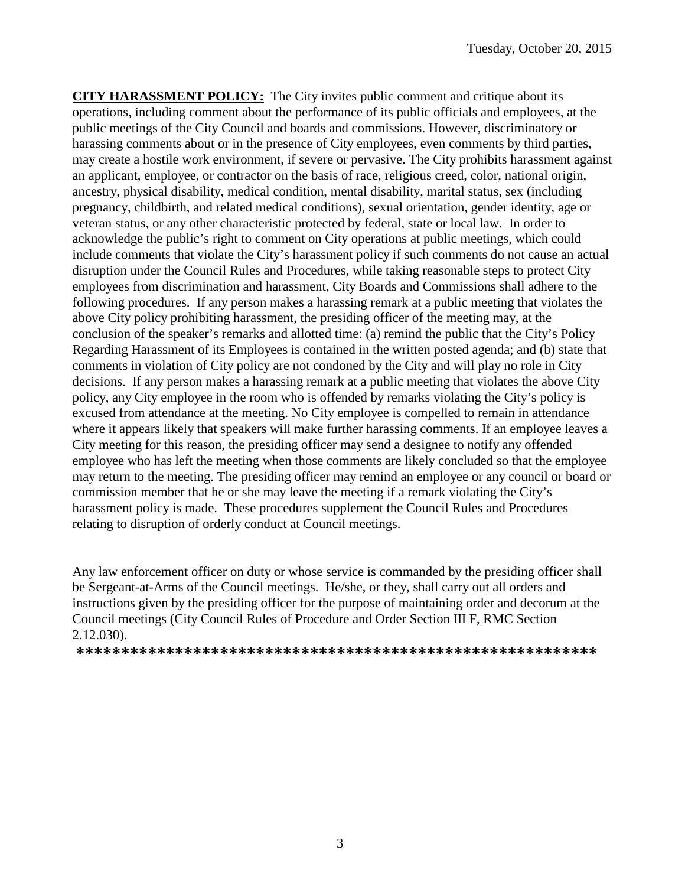**CITY HARASSMENT POLICY:** The City invites public comment and critique about its operations, including comment about the performance of its public officials and employees, at the public meetings of the City Council and boards and commissions. However, discriminatory or harassing comments about or in the presence of City employees, even comments by third parties, may create a hostile work environment, if severe or pervasive. The City prohibits harassment against an applicant, employee, or contractor on the basis of race, religious creed, color, national origin, ancestry, physical disability, medical condition, mental disability, marital status, sex (including pregnancy, childbirth, and related medical conditions), sexual orientation, gender identity, age or veteran status, or any other characteristic protected by federal, state or local law. In order to acknowledge the public's right to comment on City operations at public meetings, which could include comments that violate the City's harassment policy if such comments do not cause an actual disruption under the Council Rules and Procedures, while taking reasonable steps to protect City employees from discrimination and harassment, City Boards and Commissions shall adhere to the following procedures. If any person makes a harassing remark at a public meeting that violates the above City policy prohibiting harassment, the presiding officer of the meeting may, at the conclusion of the speaker's remarks and allotted time: (a) remind the public that the City's Policy Regarding Harassment of its Employees is contained in the written posted agenda; and (b) state that comments in violation of City policy are not condoned by the City and will play no role in City decisions. If any person makes a harassing remark at a public meeting that violates the above City policy, any City employee in the room who is offended by remarks violating the City's policy is excused from attendance at the meeting. No City employee is compelled to remain in attendance where it appears likely that speakers will make further harassing comments. If an employee leaves a City meeting for this reason, the presiding officer may send a designee to notify any offended employee who has left the meeting when those comments are likely concluded so that the employee may return to the meeting. The presiding officer may remind an employee or any council or board or commission member that he or she may leave the meeting if a remark violating the City's harassment policy is made. These procedures supplement the Council Rules and Procedures relating to disruption of orderly conduct at Council meetings.

Any law enforcement officer on duty or whose service is commanded by the presiding officer shall be Sergeant-at-Arms of the Council meetings. He/she, or they, shall carry out all orders and instructions given by the presiding officer for the purpose of maintaining order and decorum at the Council meetings (City Council Rules of Procedure and Order Section III F, RMC Section 2.12.030).

**\*\*\*\*\*\*\*\*\*\*\*\*\*\*\*\*\*\*\*\*\*\*\*\*\*\*\*\*\*\*\*\*\*\*\*\*\*\*\*\*\*\*\*\*\*\*\*\*\*\*\*\*\*\*\*\*\*\***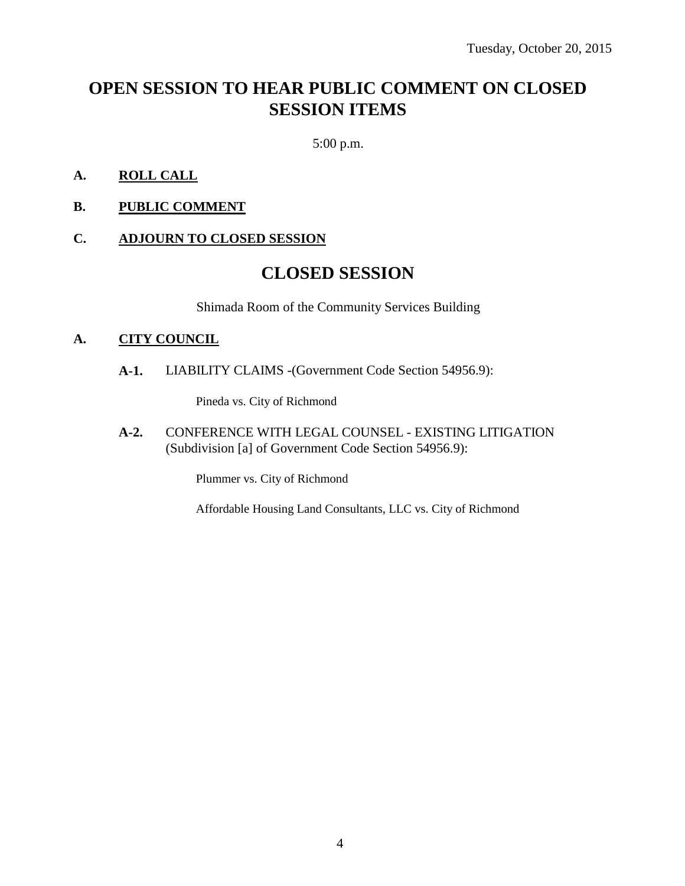# **OPEN SESSION TO HEAR PUBLIC COMMENT ON CLOSED SESSION ITEMS**

5:00 p.m.

- **A. ROLL CALL**
- **B. PUBLIC COMMENT**

### **C. ADJOURN TO CLOSED SESSION**

### **CLOSED SESSION**

Shimada Room of the Community Services Building

#### **A. CITY COUNCIL**

**A-1.** LIABILITY CLAIMS -(Government Code Section 54956.9):

Pineda vs. City of Richmond

**A-2.** CONFERENCE WITH LEGAL COUNSEL - EXISTING LITIGATION (Subdivision [a] of Government Code Section 54956.9):

Plummer vs. City of Richmond

Affordable Housing Land Consultants, LLC vs. City of Richmond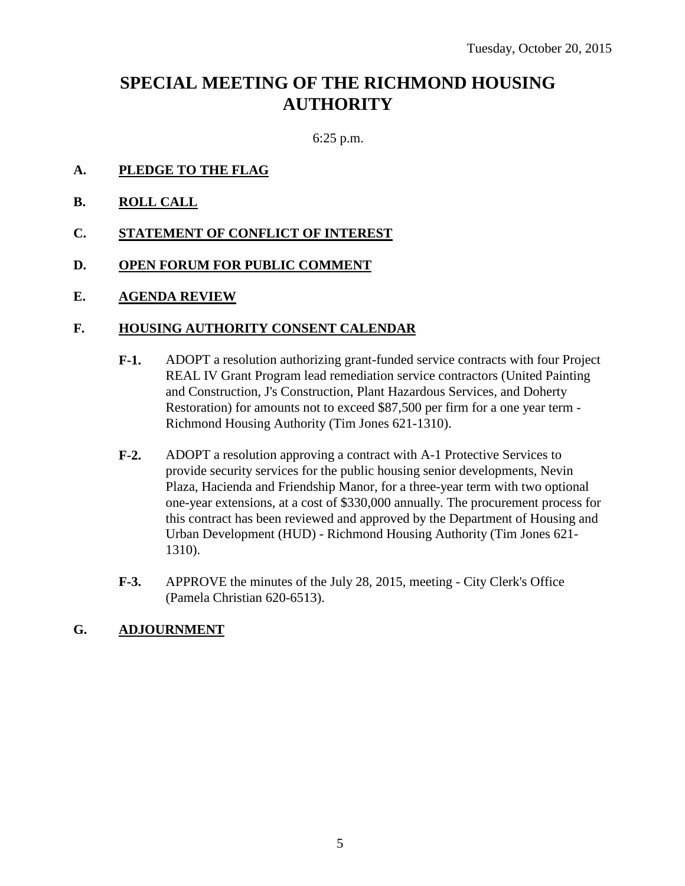## **SPECIAL MEETING OF THE RICHMOND HOUSING AUTHORITY**

6:25 p.m.

- **A. PLEDGE TO THE FLAG**
- **B. ROLL CALL**
- **C. STATEMENT OF CONFLICT OF INTEREST**
- **D. OPEN FORUM FOR PUBLIC COMMENT**
- **E. AGENDA REVIEW**

#### **F. HOUSING AUTHORITY CONSENT CALENDAR**

- **F-1.** ADOPT a resolution authorizing grant-funded service contracts with four Project REAL IV Grant Program lead remediation service contractors (United Painting and Construction, J's Construction, Plant Hazardous Services, and Doherty Restoration) for amounts not to exceed \$87,500 per firm for a one year term - Richmond Housing Authority (Tim Jones 621-1310).
- **F-2.** ADOPT a resolution approving a contract with A-1 Protective Services to provide security services for the public housing senior developments, Nevin Plaza, Hacienda and Friendship Manor, for a three-year term with two optional one-year extensions, at a cost of \$330,000 annually. The procurement process for this contract has been reviewed and approved by the Department of Housing and Urban Development (HUD) - Richmond Housing Authority (Tim Jones 621- 1310).
- **F-3.** APPROVE the minutes of the July 28, 2015, meeting City Clerk's Office (Pamela Christian 620-6513).

### **G. ADJOURNMENT**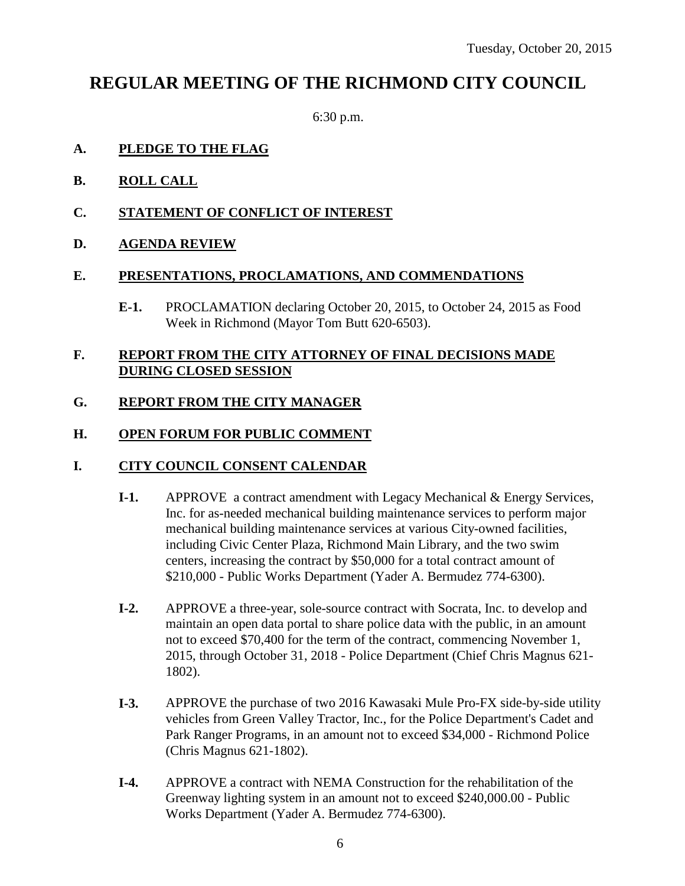### **REGULAR MEETING OF THE RICHMOND CITY COUNCIL**

6:30 p.m.

### **A. PLEDGE TO THE FLAG**

- **B. ROLL CALL**
- **C. STATEMENT OF CONFLICT OF INTEREST**
- **D. AGENDA REVIEW**

#### **E. PRESENTATIONS, PROCLAMATIONS, AND COMMENDATIONS**

**E-1.** PROCLAMATION declaring October 20, 2015, to October 24, 2015 as Food Week in Richmond (Mayor Tom Butt 620-6503).

### **F. REPORT FROM THE CITY ATTORNEY OF FINAL DECISIONS MADE DURING CLOSED SESSION**

### **G. REPORT FROM THE CITY MANAGER**

### **H. OPEN FORUM FOR PUBLIC COMMENT**

### **I. CITY COUNCIL CONSENT CALENDAR**

- **I-1.** APPROVE a contract amendment with Legacy Mechanical & Energy Services, Inc. for as-needed mechanical building maintenance services to perform major mechanical building maintenance services at various City-owned facilities, including Civic Center Plaza, Richmond Main Library, and the two swim centers, increasing the contract by \$50,000 for a total contract amount of \$210,000 - Public Works Department (Yader A. Bermudez 774-6300).
- **I-2.** APPROVE a three-year, sole-source contract with Socrata, Inc. to develop and maintain an open data portal to share police data with the public, in an amount not to exceed \$70,400 for the term of the contract, commencing November 1, 2015, through October 31, 2018 - Police Department (Chief Chris Magnus 621- 1802).
- **I-3.** APPROVE the purchase of two 2016 Kawasaki Mule Pro-FX side-by-side utility vehicles from Green Valley Tractor, Inc., for the Police Department's Cadet and Park Ranger Programs, in an amount not to exceed \$34,000 - Richmond Police (Chris Magnus 621-1802).
- **I-4.** APPROVE a contract with NEMA Construction for the rehabilitation of the Greenway lighting system in an amount not to exceed \$240,000.00 - Public Works Department (Yader A. Bermudez 774-6300).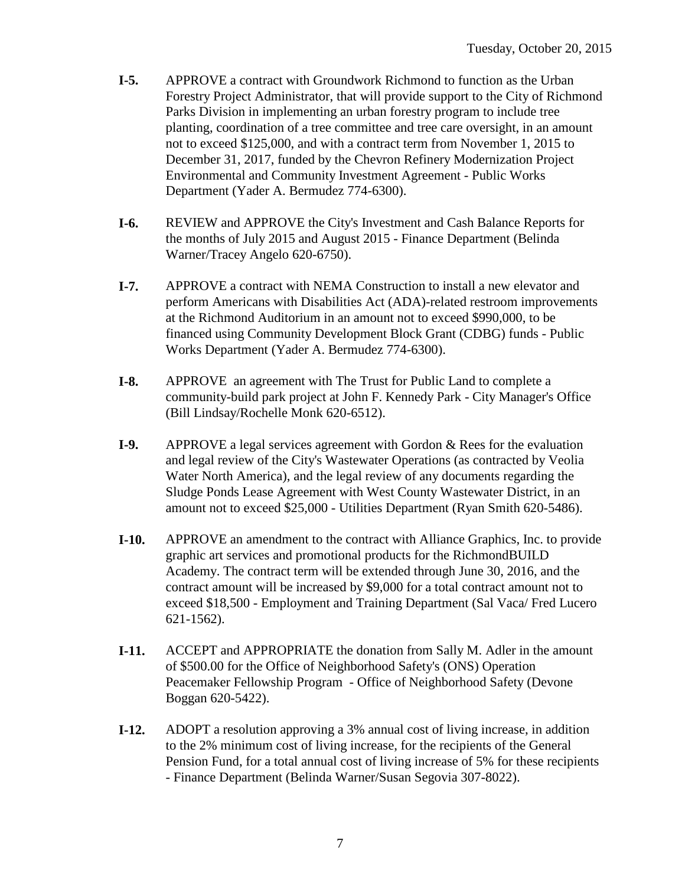- **I-5.** APPROVE a contract with Groundwork Richmond to function as the Urban Forestry Project Administrator, that will provide support to the City of Richmond Parks Division in implementing an urban forestry program to include tree planting, coordination of a tree committee and tree care oversight, in an amount not to exceed \$125,000, and with a contract term from November 1, 2015 to December 31, 2017, funded by the Chevron Refinery Modernization Project Environmental and Community Investment Agreement - Public Works Department (Yader A. Bermudez 774-6300).
- **I-6.** REVIEW and APPROVE the City's Investment and Cash Balance Reports for the months of July 2015 and August 2015 - Finance Department (Belinda Warner/Tracey Angelo 620-6750).
- **I-7.** APPROVE a contract with NEMA Construction to install a new elevator and perform Americans with Disabilities Act (ADA)-related restroom improvements at the Richmond Auditorium in an amount not to exceed \$990,000, to be financed using Community Development Block Grant (CDBG) funds - Public Works Department (Yader A. Bermudez 774-6300).
- **I-8.** APPROVE an agreement with The Trust for Public Land to complete a community-build park project at John F. Kennedy Park - City Manager's Office (Bill Lindsay/Rochelle Monk 620-6512).
- **I-9.** APPROVE a legal services agreement with Gordon & Rees for the evaluation and legal review of the City's Wastewater Operations (as contracted by Veolia Water North America), and the legal review of any documents regarding the Sludge Ponds Lease Agreement with West County Wastewater District, in an amount not to exceed \$25,000 - Utilities Department (Ryan Smith 620-5486).
- **I-10.** APPROVE an amendment to the contract with Alliance Graphics, Inc. to provide graphic art services and promotional products for the RichmondBUILD Academy. The contract term will be extended through June 30, 2016, and the contract amount will be increased by \$9,000 for a total contract amount not to exceed \$18,500 - Employment and Training Department (Sal Vaca/ Fred Lucero 621-1562).
- **I-11.** ACCEPT and APPROPRIATE the donation from Sally M. Adler in the amount of \$500.00 for the Office of Neighborhood Safety's (ONS) Operation Peacemaker Fellowship Program - Office of Neighborhood Safety (Devone Boggan 620-5422).
- **I-12.** ADOPT a resolution approving a 3% annual cost of living increase, in addition to the 2% minimum cost of living increase, for the recipients of the General Pension Fund, for a total annual cost of living increase of 5% for these recipients - Finance Department (Belinda Warner/Susan Segovia 307-8022).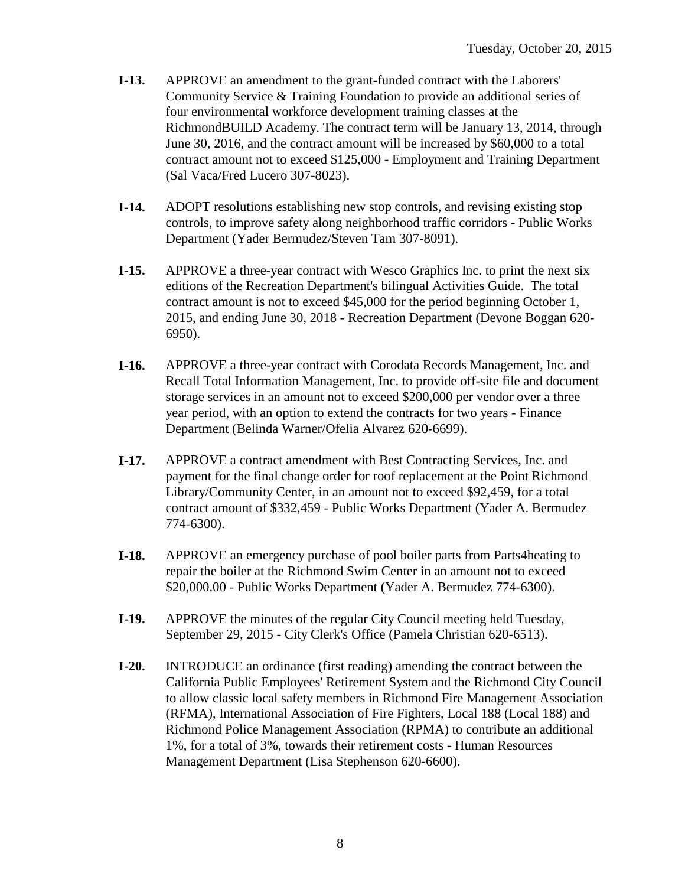- **I-13.** APPROVE an amendment to the grant-funded contract with the Laborers' Community Service & Training Foundation to provide an additional series of four environmental workforce development training classes at the RichmondBUILD Academy. The contract term will be January 13, 2014, through June 30, 2016, and the contract amount will be increased by \$60,000 to a total contract amount not to exceed \$125,000 - Employment and Training Department (Sal Vaca/Fred Lucero 307-8023).
- **I-14.** ADOPT resolutions establishing new stop controls, and revising existing stop controls, to improve safety along neighborhood traffic corridors - Public Works Department (Yader Bermudez/Steven Tam 307-8091).
- **I-15.** APPROVE a three-year contract with Wesco Graphics Inc. to print the next six editions of the Recreation Department's bilingual Activities Guide. The total contract amount is not to exceed \$45,000 for the period beginning October 1, 2015, and ending June 30, 2018 - Recreation Department (Devone Boggan 620- 6950).
- **I-16.** APPROVE a three-year contract with Corodata Records Management, Inc. and Recall Total Information Management, Inc. to provide off-site file and document storage services in an amount not to exceed \$200,000 per vendor over a three year period, with an option to extend the contracts for two years - Finance Department (Belinda Warner/Ofelia Alvarez 620-6699).
- **I-17.** APPROVE a contract amendment with Best Contracting Services, Inc. and payment for the final change order for roof replacement at the Point Richmond Library/Community Center, in an amount not to exceed \$92,459, for a total contract amount of \$332,459 - Public Works Department (Yader A. Bermudez 774-6300).
- **I-18.** APPROVE an emergency purchase of pool boiler parts from Parts4heating to repair the boiler at the Richmond Swim Center in an amount not to exceed \$20,000.00 - Public Works Department (Yader A. Bermudez 774-6300).
- **I-19.** APPROVE the minutes of the regular City Council meeting held Tuesday, September 29, 2015 - City Clerk's Office (Pamela Christian 620-6513).
- **I-20.** INTRODUCE an ordinance (first reading) amending the contract between the California Public Employees' Retirement System and the Richmond City Council to allow classic local safety members in Richmond Fire Management Association (RFMA), International Association of Fire Fighters, Local 188 (Local 188) and Richmond Police Management Association (RPMA) to contribute an additional 1%, for a total of 3%, towards their retirement costs - Human Resources Management Department (Lisa Stephenson 620-6600).